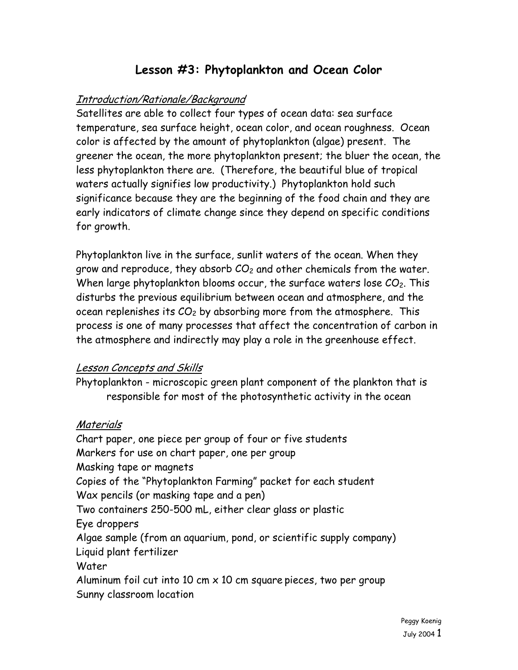# **Lesson #3: Phytoplankton and Ocean Color**

#### Introduction/Rationale/Background

Satellites are able to collect four types of ocean data: sea surface temperature, sea surface height, ocean color, and ocean roughness. Ocean color is affected by the amount of phytoplankton (algae) present. The greener the ocean, the more phytoplankton present; the bluer the ocean, the less phytoplankton there are. (Therefore, the beautiful blue of tropical waters actually signifies low productivity.) Phytoplankton hold such significance because they are the beginning of the food chain and they are early indicators of climate change since they depend on specific conditions for growth.

Phytoplankton live in the surface, sunlit waters of the ocean. When they grow and reproduce, they absorb  $CO<sub>2</sub>$  and other chemicals from the water. When large phytoplankton blooms occur, the surface waters lose  $CO<sub>2</sub>$ . This disturbs the previous equilibrium between ocean and atmosphere, and the ocean replenishes its  $CO<sub>2</sub>$  by absorbing more from the atmosphere. This process is one of many processes that affect the concentration of carbon in the atmosphere and indirectly may play a role in the greenhouse effect.

#### Lesson Concepts and Skills

Phytoplankton - microscopic green plant component of the plankton that is responsible for most of the photosynthetic activity in the ocean

#### Materials

Chart paper, one piece per group of four or five students Markers for use on chart paper, one per group Masking tape or magnets Copies of the "Phytoplankton Farming" packet for each student Wax pencils (or masking tape and a pen) Two containers 250-500 mL, either clear glass or plastic Eye droppers Algae sample (from an aquarium, pond, or scientific supply company) Liquid plant fertilizer Water Aluminum foil cut into 10 cm  $\times$  10 cm square pieces, two per group Sunny classroom location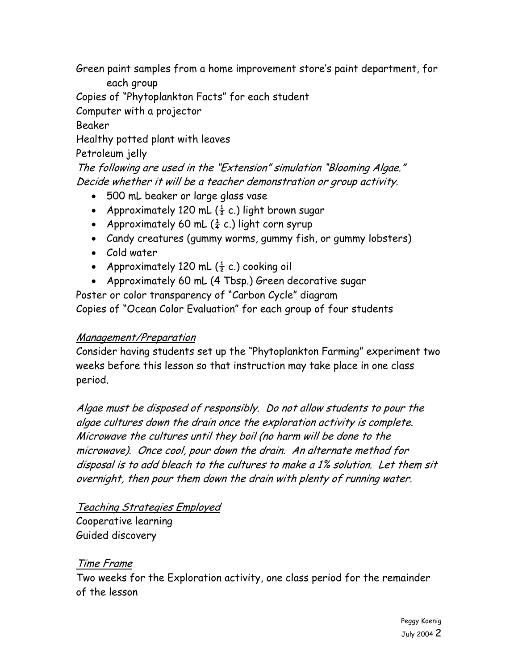Green paint samples from a home improvement store's paint department, for each group

Copies of "Phytoplankton Facts" for each student

Computer with a projector

Beaker

Healthy potted plant with leaves

Petroleum jelly

The following are used in the "Extension" simulation "Blooming Algae." Decide whether it will be a teacher demonstration or group activity.

- 500 mL beaker or large glass vase
- Approximately 120 mL  $(\frac{1}{2} c.)$  light brown sugar
- Approximately 60 mL  $(\frac{1}{4} c.)$  light corn syrup
- Candy creatures (gummy worms, gummy fish, or gummy lobsters)
- Cold water
- Approximately 120 mL  $(\frac{1}{2} c.)$  cooking oil
- Approximately 60 mL (4 Tbsp.) Green decorative sugar

Poster or color transparency of "Carbon Cycle" diagram Copies of "Ocean Color Evaluation" for each group of four students

# Management/Preparation

Consider having students set up the "Phytoplankton Farming" experiment two weeks before this lesson so that instruction may take place in one class period.

Algae must be disposed of responsibly. Do not allow students to pour the algae cultures down the drain once the exploration activity is complete. Microwave the cultures until they boil (no harm will be done to the microwave). Once cool, pour down the drain. An alternate method for disposal is to add bleach to the cultures to make a 1% solution. Let them sit overnight, then pour them down the drain with plenty of running water.

#### Teaching Strategies Employed Cooperative learning

Guided discovery

# Time Frame

Two weeks for the Exploration activity, one class period for the remainder of the lesson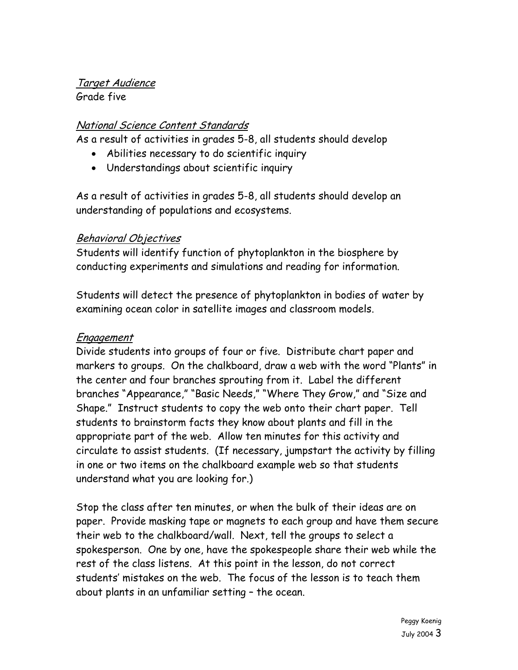#### Target Audience Grade five

# National Science Content Standards

As a result of activities in grades 5-8, all students should develop

- Abilities necessary to do scientific inquiry
- Understandings about scientific inquiry

As a result of activities in grades 5-8, all students should develop an understanding of populations and ecosystems.

#### Behavioral Objectives

Students will identify function of phytoplankton in the biosphere by conducting experiments and simulations and reading for information.

Students will detect the presence of phytoplankton in bodies of water by examining ocean color in satellite images and classroom models.

#### Engagement

Divide students into groups of four or five. Distribute chart paper and markers to groups. On the chalkboard, draw a web with the word "Plants" in the center and four branches sprouting from it. Label the different branches "Appearance," "Basic Needs," "Where They Grow," and "Size and Shape." Instruct students to copy the web onto their chart paper. Tell students to brainstorm facts they know about plants and fill in the appropriate part of the web. Allow ten minutes for this activity and circulate to assist students. (If necessary, jumpstart the activity by filling in one or two items on the chalkboard example web so that students understand what you are looking for.)

Stop the class after ten minutes, or when the bulk of their ideas are on paper. Provide masking tape or magnets to each group and have them secure their web to the chalkboard/wall. Next, tell the groups to select a spokesperson. One by one, have the spokespeople share their web while the rest of the class listens. At this point in the lesson, do not correct students' mistakes on the web. The focus of the lesson is to teach them about plants in an unfamiliar setting – the ocean.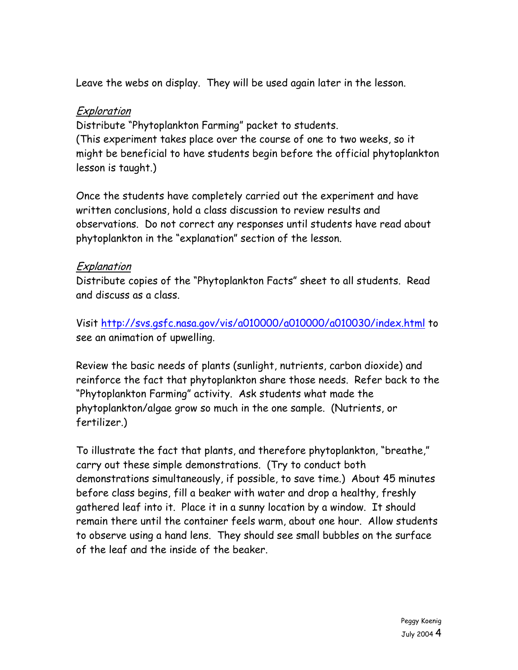Leave the webs on display. They will be used again later in the lesson.

#### Exploration

Distribute "Phytoplankton Farming" packet to students. (This experiment takes place over the course of one to two weeks, so it might be beneficial to have students begin before the official phytoplankton lesson is taught.)

Once the students have completely carried out the experiment and have written conclusions, hold a class discussion to review results and observations. Do not correct any responses until students have read about phytoplankton in the "explanation" section of the lesson.

# **Explanation**

Distribute copies of the "Phytoplankton Facts" sheet to all students. Read and discuss as a class.

Visit <http://svs.gsfc.nasa.gov/vis/a010000/a010000/a010030/index.html>to see an animation of upwelling.

Review the basic needs of plants (sunlight, nutrients, carbon dioxide) and reinforce the fact that phytoplankton share those needs. Refer back to the "Phytoplankton Farming" activity. Ask students what made the phytoplankton/algae grow so much in the one sample. (Nutrients, or fertilizer.)

To illustrate the fact that plants, and therefore phytoplankton, "breathe," carry out these simple demonstrations. (Try to conduct both demonstrations simultaneously, if possible, to save time.) About 45 minutes before class begins, fill a beaker with water and drop a healthy, freshly gathered leaf into it. Place it in a sunny location by a window. It should remain there until the container feels warm, about one hour. Allow students to observe using a hand lens. They should see small bubbles on the surface of the leaf and the inside of the beaker.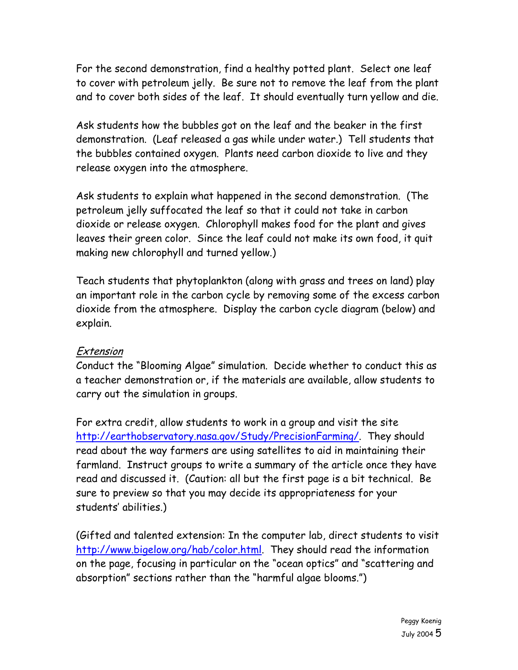For the second demonstration, find a healthy potted plant. Select one leaf to cover with petroleum jelly. Be sure not to remove the leaf from the plant and to cover both sides of the leaf. It should eventually turn yellow and die.

Ask students how the bubbles got on the leaf and the beaker in the first demonstration. (Leaf released a gas while under water.) Tell students that the bubbles contained oxygen. Plants need carbon dioxide to live and they release oxygen into the atmosphere.

Ask students to explain what happened in the second demonstration. (The petroleum jelly suffocated the leaf so that it could not take in carbon dioxide or release oxygen. Chlorophyll makes food for the plant and gives leaves their green color. Since the leaf could not make its own food, it quit making new chlorophyll and turned yellow.)

Teach students that phytoplankton (along with grass and trees on land) play an important role in the carbon cycle by removing some of the excess carbon dioxide from the atmosphere. Display the carbon cycle diagram (below) and explain.

#### Extension

Conduct the "Blooming Algae" simulation. Decide whether to conduct this as a teacher demonstration or, if the materials are available, allow students to carry out the simulation in groups.

For extra credit, allow students to work in a group and visit the site <http://earthobservatory.nasa.gov/Study/PrecisionFarming/>. They should read about the way farmers are using satellites to aid in maintaining their farmland. Instruct groups to write a summary of the article once they have read and discussed it. (Caution: all but the first page is a bit technical. Be sure to preview so that you may decide its appropriateness for your students' abilities.)

(Gifted and talented extension: In the computer lab, direct students to visit <http://www.bigelow.org/hab/color.html>. They should read the information on the page, focusing in particular on the "ocean optics" and "scattering and absorption" sections rather than the "harmful algae blooms.")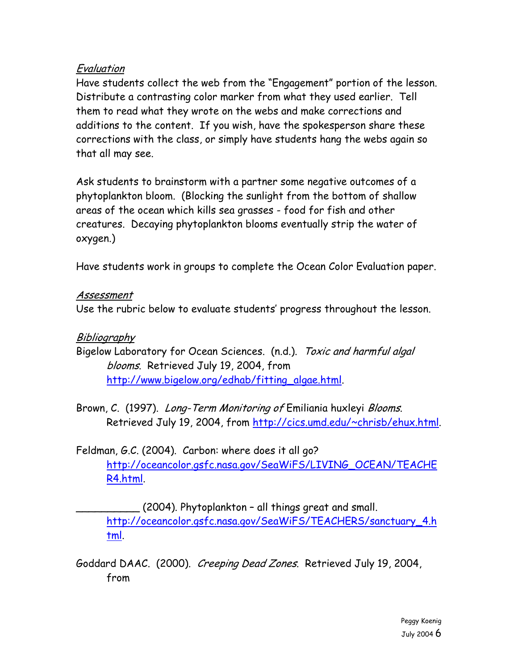### Evaluation

Have students collect the web from the "Engagement" portion of the lesson. Distribute a contrasting color marker from what they used earlier. Tell them to read what they wrote on the webs and make corrections and additions to the content. If you wish, have the spokesperson share these corrections with the class, or simply have students hang the webs again so that all may see.

Ask students to brainstorm with a partner some negative outcomes of a phytoplankton bloom. (Blocking the sunlight from the bottom of shallow areas of the ocean which kills sea grasses - food for fish and other creatures. Decaying phytoplankton blooms eventually strip the water of oxygen.)

Have students work in groups to complete the Ocean Color Evaluation paper.

#### Assessment

Use the rubric below to evaluate students' progress throughout the lesson.

### **Bibliography**

- Bigelow Laboratory for Ocean Sciences. (n.d.). Toxic and harmful algal blooms. Retrieved July 19, 2004, from [http://www.bigelow.org/edhab/fitting\\_algae.html.](http://www.bigelow.org/edhab/fitting_algae.html)
- Brown, C. (1997). *Long-Term Monitoring of* Emiliania huxleyi *Blooms*. Retrieved July 19, 2004, from [http://cics.umd.edu/~chrisb/ehux.html.](http://cics.umd.edu/%7Echrisb/ehux.html)
- Feldman, G.C. (2004). Carbon: where does it all go? [http://oceancolor.gsfc.nasa.gov/SeaWiFS/LIVING\\_OCEAN/TEACHE](http://oceancolor.gsfc.nasa.gov/SeaWiFS/LIVING_OCEAN/TEACHER4.html) [R4.html](http://oceancolor.gsfc.nasa.gov/SeaWiFS/LIVING_OCEAN/TEACHER4.html).

\_\_\_\_\_\_\_\_\_\_ (2004). Phytoplankton – all things great and small. [http://oceancolor.gsfc.nasa.gov/SeaWiFS/TEACHERS/sanctuary\\_4.h](http://oceancolor.gsfc.nasa.gov/SeaWiFS/TEACHERS/sanctuary_4.html) [tml](http://oceancolor.gsfc.nasa.gov/SeaWiFS/TEACHERS/sanctuary_4.html).

Goddard DAAC. (2000). Creeping Dead Zones. Retrieved July 19, 2004, from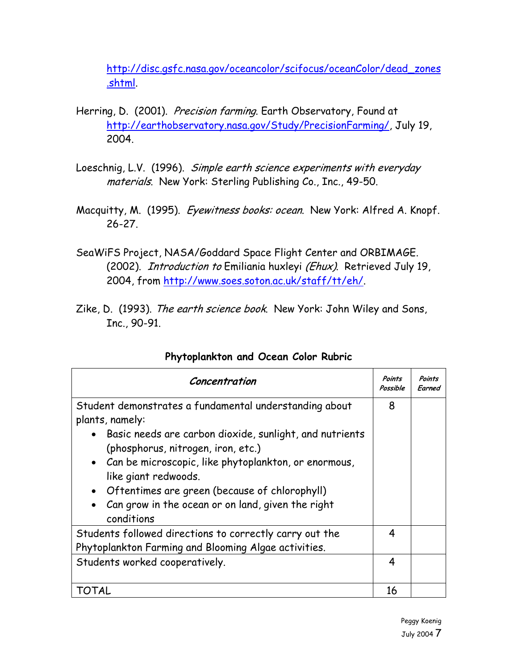[http://disc.gsfc.nasa.gov/oceancolor/scifocus/oceanColor/dead\\_zones](http://disc.gsfc.nasa.gov/oceancolor/scifocus/oceanColor/dead_zones.shtml) [.shtml](http://disc.gsfc.nasa.gov/oceancolor/scifocus/oceanColor/dead_zones.shtml).

- Herring, D. (2001). Precision farming. Earth Observatory, Found at <http://earthobservatory.nasa.gov/Study/PrecisionFarming/>, July 19, 2004.
- Loeschnig, L.V. (1996). Simple earth science experiments with everyday materials. New York: Sterling Publishing Co., Inc., 49-50.
- Macquitty, M. (1995). Eyewitness books: ocean. New York: Alfred A. Knopf. 26-27.
- SeaWiFS Project, NASA/Goddard Space Flight Center and ORBIMAGE. (2002). Introduction to Emiliania huxleyi (Ehux). Retrieved July 19, 2004, from [http://www.soes.soton.ac.uk/staff/tt/eh/.](http://www.soes.soton.ac.uk/staff/tt/eh/)
- Zike, D. (1993). The earth science book. New York: John Wiley and Sons, Inc., 90-91.

| Concentration                                                                                                                                                                                                                                                                                                                                                                                   | Points<br>Possible | Points<br>Earned |
|-------------------------------------------------------------------------------------------------------------------------------------------------------------------------------------------------------------------------------------------------------------------------------------------------------------------------------------------------------------------------------------------------|--------------------|------------------|
| Student demonstrates a fundamental understanding about<br>plants, namely:<br>Basic needs are carbon dioxide, sunlight, and nutrients<br>$\bullet$<br>(phosphorus, nitrogen, iron, etc.)<br>• Can be microscopic, like phytoplankton, or enormous,<br>like giant redwoods.<br>• Oftentimes are green (because of chlorophyll)<br>Can grow in the ocean or on land, given the right<br>conditions | 8                  |                  |
| Students followed directions to correctly carry out the<br>Phytoplankton Farming and Blooming Algae activities.                                                                                                                                                                                                                                                                                 | 4                  |                  |
| Students worked cooperatively.                                                                                                                                                                                                                                                                                                                                                                  | 4                  |                  |
| 101AL                                                                                                                                                                                                                                                                                                                                                                                           | 16                 |                  |

# **Phytoplankton and Ocean Color Rubric**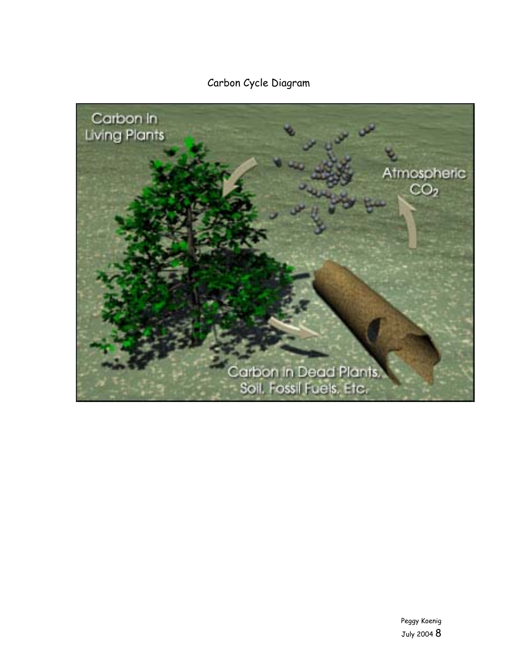Carbon Cycle Diagram

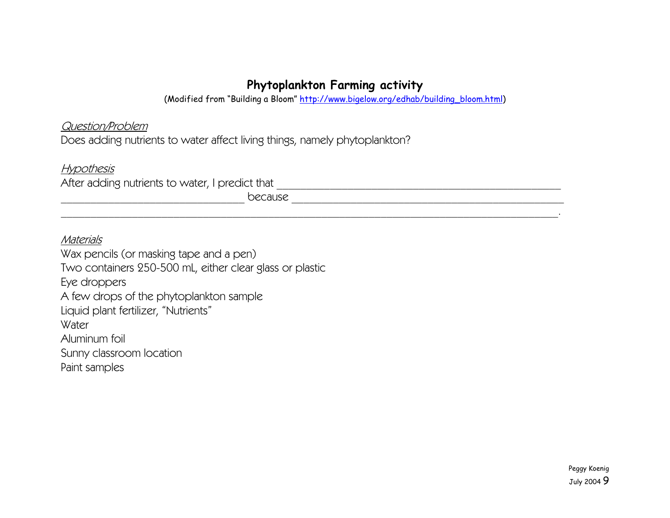# **Phytoplankton Farming activity**

(Modified from "Building a Bloom" [http://www.bigelow.org/edhab/building\\_bloom.html](http://www.bigelow.org/edhab/building_bloom.html))

\_\_\_\_\_\_\_\_\_\_\_\_\_\_\_\_\_\_\_\_\_\_\_\_\_\_\_\_\_\_\_\_\_\_\_\_\_\_\_\_\_\_\_\_\_\_\_\_\_\_\_\_\_\_\_\_\_\_\_\_\_\_\_\_\_\_\_\_\_\_\_\_\_\_\_\_\_\_\_\_\_\_\_\_.

Question/Problem

Does adding nutrients to water affect living things, namely phytoplankton?

Hypothesis

After adding nutrients to water, I predict that \_\_\_\_\_\_\_\_\_\_\_\_\_\_\_\_\_\_\_\_\_\_\_\_\_\_\_\_\_\_\_\_\_\_\_\_\_\_\_\_\_\_\_\_\_\_\_\_

\_\_\_\_\_\_\_\_\_\_\_\_\_\_\_\_\_\_\_\_\_\_\_\_\_\_\_\_\_\_\_ because \_\_\_\_\_\_\_\_\_\_\_\_\_\_\_\_\_\_\_\_\_\_\_\_\_\_\_\_\_\_\_\_\_\_\_\_\_\_\_\_\_\_\_\_\_\_

Materials

Wax pencils (or masking tape and a pen) Two containers 250-500 mL, either clear glass or plastic Eye droppers A few drops of the phytoplankton sample Liquid plant fertilizer, "Nutrients" **Water** Aluminum foil Sunny classroom location Paint samples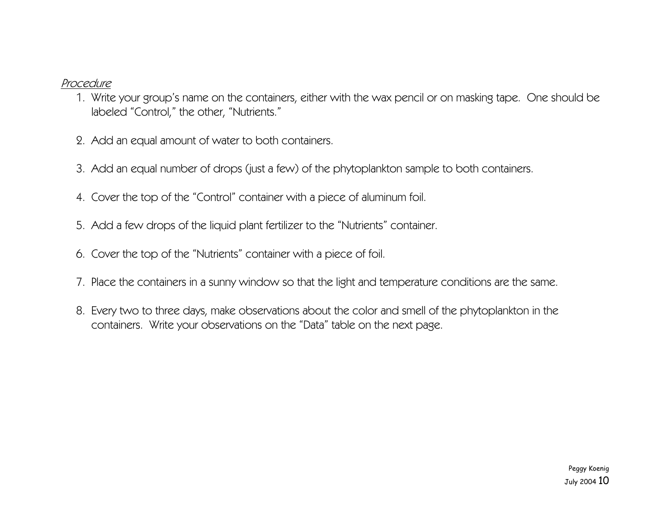### Procedure

- 1. Write your group's name on the containers, either with the wax pencil or on masking tape. One should be labeled "Control," the other, "Nutrients."
- 2. Add an equal amount of water to both containers.
- 3. Add an equal number of drops (just a few) of the phytoplankton sample to both containers.
- 4. Cover the top of the "Control" container with a piece of aluminum foil.
- 5. Add a few drops of the liquid plant fertilizer to the "Nutrients" container.
- 6. Cover the top of the "Nutrients" container with a piece of foil.
- 7. Place the containers in a sunny window so that the light and temperature conditions are the same.
- 8. Every two to three days, make observations about the color and smell of the phytoplankton in the containers. Write your observations on the "Data" table on the next page.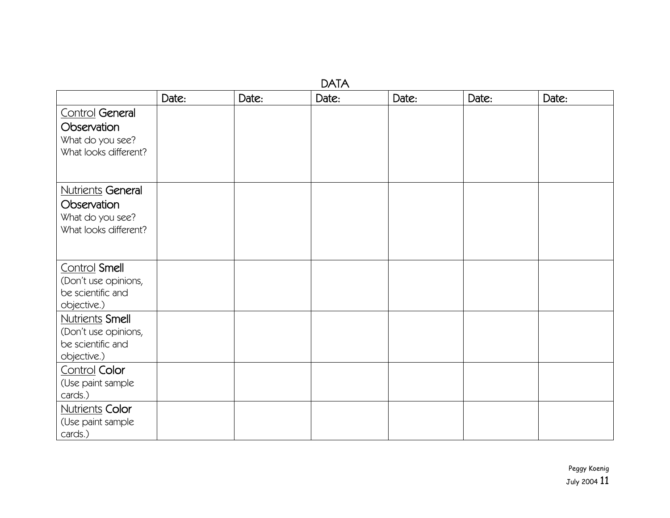| <b>DATA</b>                                                                          |       |       |       |       |       |       |  |  |  |
|--------------------------------------------------------------------------------------|-------|-------|-------|-------|-------|-------|--|--|--|
|                                                                                      | Date: | Date: | Date: | Date: | Date: | Date: |  |  |  |
| Control General<br>Observation<br>What do you see?<br>What looks different?          |       |       |       |       |       |       |  |  |  |
|                                                                                      |       |       |       |       |       |       |  |  |  |
| <b>Nutrients General</b><br>Observation<br>What do you see?<br>What looks different? |       |       |       |       |       |       |  |  |  |
| Control Smell<br>(Don't use opinions,<br>be scientific and<br>objective.)            |       |       |       |       |       |       |  |  |  |
| <b>Nutrients Smell</b><br>(Don't use opinions,<br>be scientific and<br>objective.)   |       |       |       |       |       |       |  |  |  |
| <b>Control Color</b><br>(Use paint sample<br>cards.)                                 |       |       |       |       |       |       |  |  |  |
| <b>Nutrients Color</b><br>(Use paint sample<br>cards.)                               |       |       |       |       |       |       |  |  |  |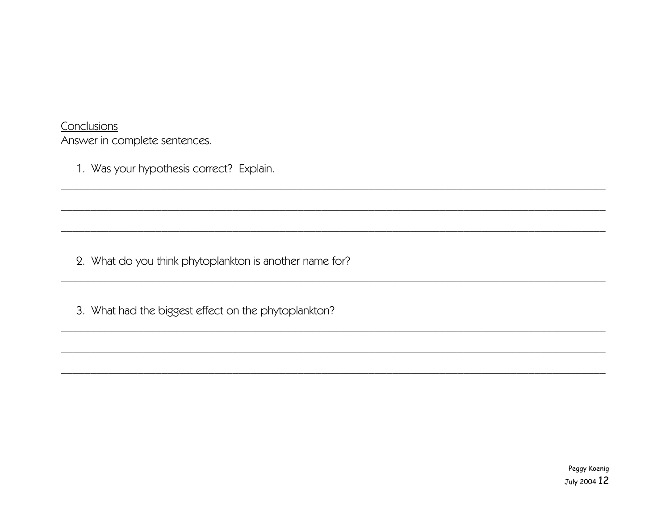Conclusions Answer in complete sentences.

1. Was your hypothesis correct? Explain.

2. What do you think phytoplankton is another name for?

3. What had the biggest effect on the phytoplankton?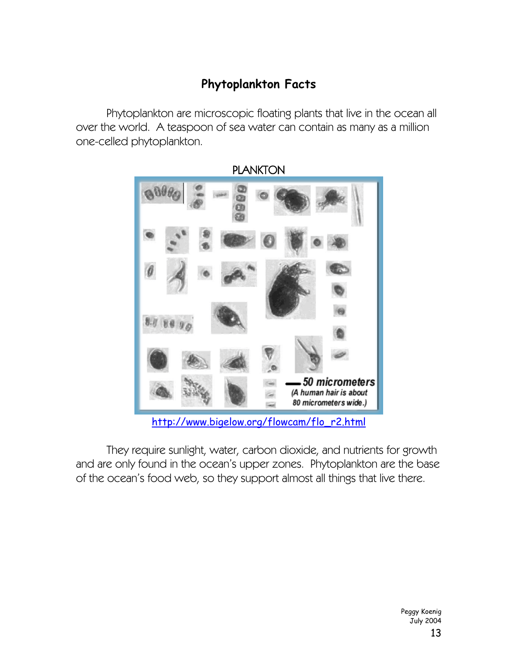# **Phytoplankton Facts**

Phytoplankton are microscopic floating plants that live in the ocean all over the world. A teaspoon of sea water can contain as many as a million one-celled phytoplankton.



PLANKTON

[http://www.bigelow.org/flowcam/flo\\_r2.html](http://www.bigelow.org/flowcam/flo_r2.html)

They require sunlight, water, carbon dioxide, and nutrients for growth and are only found in the ocean's upper zones. Phytoplankton are the base of the ocean's food web, so they support almost all things that live there.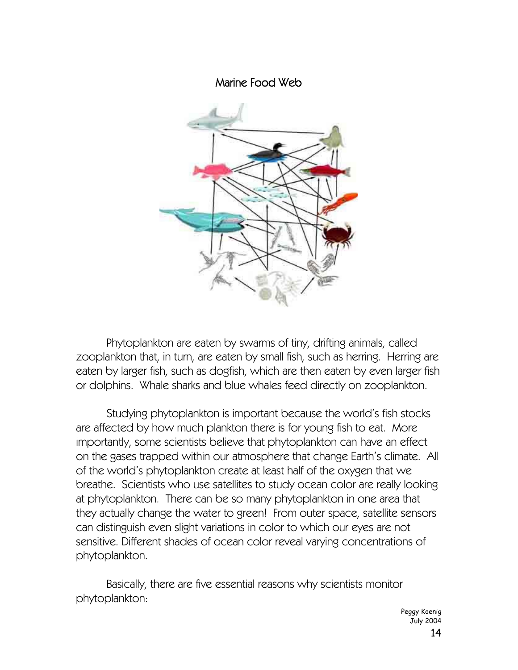Marine Food Web



Phytoplankton are eaten by swarms of tiny, drifting animals, called zooplankton that, in turn, are eaten by small fish, such as herring. Herring are eaten by larger fish, such as dogfish, which are then eaten by even larger fish or dolphins. Whale sharks and blue whales feed directly on zooplankton.

Studying phytoplankton is important because the world's fish stocks are affected by how much plankton there is for young fish to eat. More importantly, some scientists believe that phytoplankton can have an effect on the gases trapped within our atmosphere that change Earth's climate. All of the world's phytoplankton create at least half of the oxygen that we breathe. Scientists who use satellites to study ocean color are really looking at phytoplankton. There can be so many phytoplankton in one area that they actually change the water to green! From outer space, satellite sensors can distinguish even slight variations in color to which our eyes are not sensitive. Different shades of ocean color reveal varying concentrations of phytoplankton.

Basically, there are five essential reasons why scientists monitor phytoplankton:

> Peggy Koenig July 2004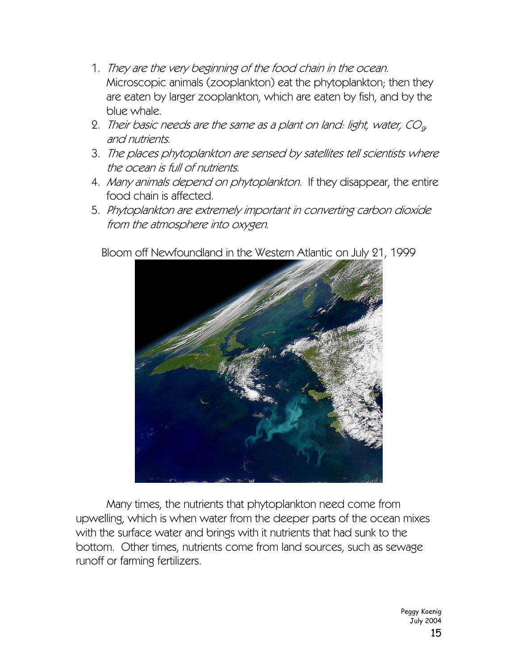- 1. They are the very beginning of the food chain in the ocean. Microscopic animals (zooplankton) eat the phytoplankton; then they are eaten by larger zooplankton, which are eaten by fish, and by the blue whale.
- 2. Their basic needs are the same as a plant on land: light, water,  $CO<sub>2</sub>$ and nutrients.
- 3. The places phytoplankton are sensed by satellites tell scientists where the ocean is full of nutrients.
- 4. Many animals depend on phytoplankton. If they disappear, the entire food chain is affected.
- 5. Phytoplankton are extremely important in converting carbon dioxide from the atmosphere into oxygen.



Bloom off Newfoundland in the Western Atlantic on July 21, 1999

 Many times, the nutrients that phytoplankton need come from upwelling, which is when water from the deeper parts of the ocean mixes with the surface water and brings with it nutrients that had sunk to the bottom. Other times, nutrients come from land sources, such as sewage runoff or farming fertilizers.

> Peggy Koenig July 2004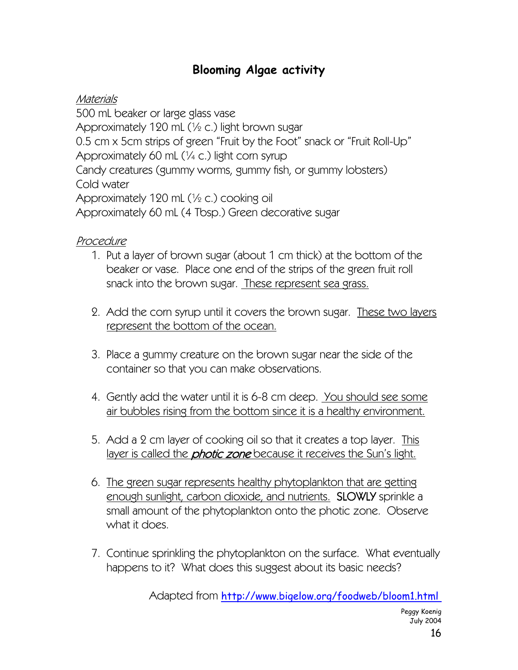# **Blooming Algae activity**

# Materials

500 mL beaker or large glass vase Approximately 120 mL (½ c.) light brown sugar 0.5 cm x 5cm strips of green "Fruit by the Foot" snack or "Fruit Roll-Up" Approximately 60 mL (¼ c.) light corn syrup Candy creatures (gummy worms, gummy fish, or gummy lobsters) Cold water Approximately 120 mL (½ c.) cooking oil Approximately 60 mL (4 Tbsp.) Green decorative sugar

# Procedure

- 1. Put a layer of brown sugar (about 1 cm thick) at the bottom of the beaker or vase. Place one end of the strips of the green fruit roll snack into the brown sugar. These represent sea grass.
- 2. Add the corn syrup until it covers the brown sugar. These two layers represent the bottom of the ocean.
- 3. Place a gummy creature on the brown sugar near the side of the container so that you can make observations.
- 4. Gently add the water until it is 6-8 cm deep. You should see some air bubbles rising from the bottom since it is a healthy environment.
- 5. Add a 2 cm layer of cooking oil so that it creates a top layer. This layer is called the *photic zone* because it receives the Sun's light.
- 6. The green sugar represents healthy phytoplankton that are getting enough sunlight, carbon dioxide, and nutrients. SLOWLY sprinkle a small amount of the phytoplankton onto the photic zone. Observe what it does.
- 7. Continue sprinkling the phytoplankton on the surface. What eventually happens to it? What does this suggest about its basic needs?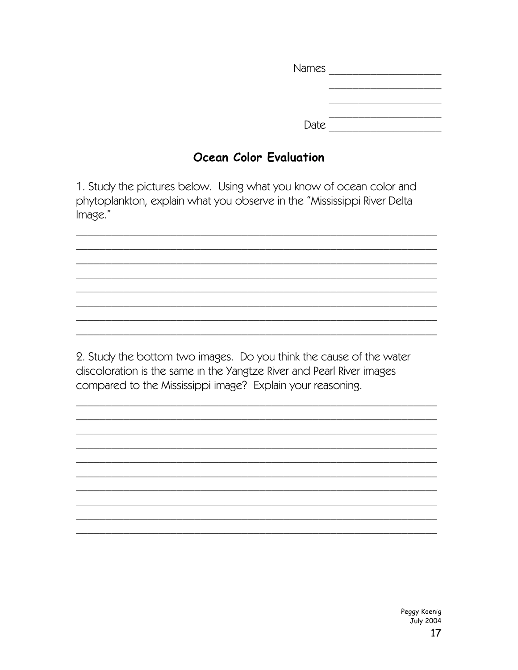Date  $\overline{\phantom{a} \phantom{a}}$ 

# Ocean Color Evaluation

1. Study the pictures below. Using what you know of ocean color and phytoplankton, explain what you observe in the "Mississippi River Delta Image."

2. Study the bottom two images. Do you think the cause of the water discoloration is the same in the Yangtze River and Pearl River images compared to the Mississippi image? Explain your reasoning.

> Peggy Koenig July 2004 17